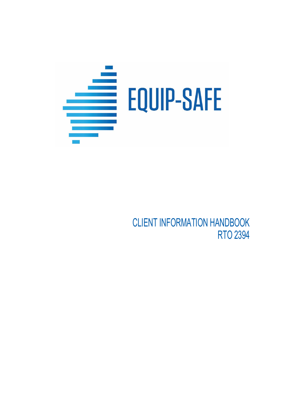

CLIENT INFORMATION HANDBOOK RTO 2394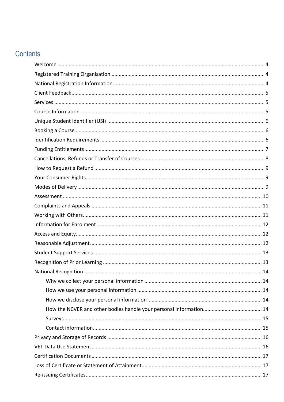# Contents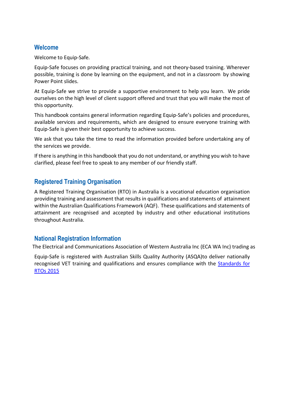## <span id="page-3-0"></span>**Welcome**

Welcome to Equip-Safe.

Equip-Safe focuses on providing practical training, and not theory-based training. Wherever possible, training is done by learning on the equipment, and not in a classroom by showing Power Point slides.

At Equip-Safe we strive to provide a supportive environment to help you learn. We pride ourselves on the high level of client support offered and trust that you will make the most of this opportunity.

This handbook contains general information regarding Equip-Safe's policies and procedures, available services and requirements, which are designed to ensure everyone training with Equip-Safe is given their best opportunity to achieve success.

We ask that you take the time to read the information provided before undertaking any of the services we provide.

If there is anything in this handbook that you do not understand, or anything you wish to have clarified, please feel free to speak to any member of our friendly staff.

# <span id="page-3-1"></span>**Registered Training Organisation**

A Registered Training Organisation (RTO) in Australia is a vocational education organisation providing training and assessment that results in qualifications and statements of attainment within the Australian Qualifications Framework (AQF). These qualifications and statements of attainment are recognised and accepted by industry and other educational institutions throughout Australia.

## <span id="page-3-2"></span>**National Registration Information**

The Electrical and Communications Association of Western Australia Inc (ECA WA Inc) trading as

Equip-Safe is registered with Australian Skills Quality Authority (ASQA)to deliver nationally recognised VET training and qualifications and ensures compliance with the [Standards for](https://www.asqa.gov.au/about/asqa-overview/key-legislation/standards-rtos-2015)  [RTOs 2015](https://www.asqa.gov.au/about/asqa-overview/key-legislation/standards-rtos-2015)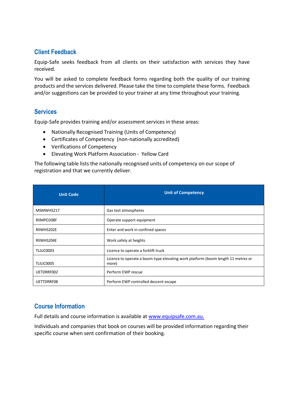## <span id="page-4-0"></span>**Client Feedback**

Equip-Safe seeks feedback from all clients on their satisfaction with services they have received.

You will be asked to complete feedback forms regarding both the quality of our training products and the services delivered. Please take the time to complete these forms. Feedback and/or suggestions can be provided to your trainer at any time throughout your training.

## <span id="page-4-1"></span>**Services**

Equip-Safe provides training and/or assessment services in these areas:

- Nationally Recognised Training (Units of Competency)
- Certificates of Competency (non-nationally accredited)
- Verifications of Competency
- Elevating Work Platform Association Yellow Card

The following table lists the nationally recognised units of competency on our scope of registration and that we currently deliver.

| <b>Unit Code</b> | <b>Unit of Competency</b>                                                                 |
|------------------|-------------------------------------------------------------------------------------------|
| MSMWHS217        | Gas test atmospheres                                                                      |
| RIIMPO208F       | Operate support equipment                                                                 |
| RIIWHS202E       | Enter and work in confined spaces                                                         |
| RIIWHS204E       | Work safely at heights                                                                    |
| TLILIC0003       | Licence to operate a forklift truck                                                       |
| TLILIC0005       | Licence to operate a boom-type elevating work platform (boom length 11 metres or<br>more) |
| UETDRRF002       | Perform EWP rescue                                                                        |
| UETTDRRF08       | Perform EWP controlled descent escape                                                     |

# <span id="page-4-2"></span>**Course Information**

Full details and course information is available at [www.equipsafe.com.au.](http://www.equipsafe.com.au/)

Individuals and companies that book on courses will be provided information regarding their specific course when sent confirmation of their booking.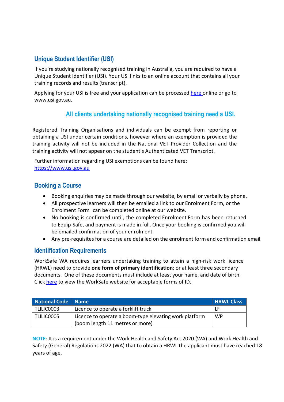# <span id="page-5-0"></span>**Unique Student Identifier (USI)**

If you're studying nationally recognised training in Australia, you are required to have a Unique Student Identifier (USI). Your USI links to an online account that contains all your training records and results (transcript).

Applying for your USI is free and your application can be processed [here o](http://www.usi.gov.au/create-your-USI/Pages/default.aspx)nline or go to [www.usi.gov.au.](http://www.usi.gov.au/)

# **All clients undertaking nationally recognised training need a USI.**

Registered Training Organisations and individuals can be exempt from reporting or obtaining a USI under certain conditions, however where an exemption is provided the training activity will not be included in the National VET Provider Collection and the training activity will not appear on the student's Authenticated VET Transcript.

Further information regarding USI exemptions can be found here: [https://www.usi.gov.au](https://www.usi.gov.au/node/276)

# <span id="page-5-1"></span>**Booking a Course**

- Booking enquiries may be made through our website, by email or verbally by phone.
- All prospective learners will then be emailed a link to our Enrolment Form, or the Enrolment Form can be completed online at our website.
- No booking is confirmed until, the completed Enrolment Form has been returned to Equip-Safe, and payment is made in full. Once your booking is confirmed you will be emailed confirmation of your enrolment.
- Any pre-requisites for a course are detailed on the enrolment form and confirmation email.

## <span id="page-5-2"></span>**Identification Requirements**

WorkSafe WA requires learners undertaking training to attain a high-risk work licence (HRWL) need to provide **one form of primary identification**; or at least three secondary documents. One of these documents must include at least your name, and date of birth. Click [here](https://www.commerce.wa.gov.au/publications/application-guide-application-high-risk-work-licence) to view the WorkSafe website for acceptable forms of ID.

| <b>National Code Name</b> |                                                                                           | <b>HRWL Class</b> |
|---------------------------|-------------------------------------------------------------------------------------------|-------------------|
| TLILIC0003                | Licence to operate a forklift truck                                                       | LF                |
| TLILIC0005                | Licence to operate a boom-type elevating work platform<br>(boom length 11 metres or more) | <b>WP</b>         |

**NOTE**: It is a requirement under the Work Health and Safety Act 2020 (WA) and Work Health and Safety (General) Regulations 2022 (WA) that to obtain a HRWL the applicant must have reached 18 years of age.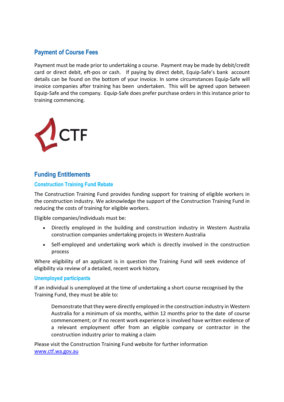# **Payment of Course Fees**

Payment must be made prior to undertaking a course. Payment may be made by debit/credit card or direct debit, eft-pos or cash. If paying by direct debit, Equip-Safe's bank account details can be found on the bottom of your invoice. In some circumstances Equip-Safe will invoice companies after training has been undertaken. This will be agreed upon between Equip-Safe and the company. Equip-Safe does prefer purchase orders in this instance prior to training commencing.



## <span id="page-6-0"></span>**Funding Entitlements**

#### **Construction Training Fund Rebate**

The Construction Training Fund provides funding support for training of eligible workers in the construction industry. We acknowledge the support of the Construction Training Fund in reducing the costs of training for eligible workers.

Eligible companies/individuals must be:

- Directly employed in the building and construction industry in Western Australia construction companies undertaking projects in Western Australia
- Self-employed and undertaking work which is directly involved in the construction process

Where eligibility of an applicant is in question the Training Fund will seek evidence of eligibility via review of a detailed, recent work history.

#### **Unemployed participants**

If an individual is unemployed at the time of undertaking a short course recognised by the Training Fund, they must be able to:

Demonstrate that they were directly employed in the construction industry in Western Australia for a minimum of six months, within 12 months prior to the date of course commencement; or if no recent work experience is involved have written evidence of a relevant employment offer from an eligible company or contractor in the construction industry prior to making a claim

Please visit the Construction Training Fund website for further information [www.ctf.wa.gov.au](http://www.ctf.wa.gov.a/)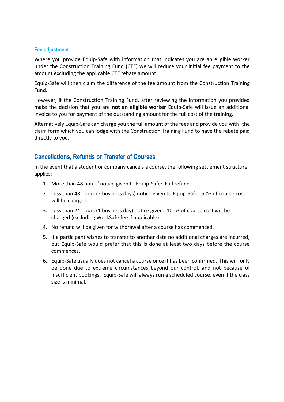#### **Fee adjustment**

Where you provide Equip-Safe with information that indicates you are an eligible worker under the Construction Training Fund (CTF) we will reduce your initial fee payment to the amount excluding the applicable CTF rebate amount.

Equip-Safe will then claim the difference of the fee amount from the Construction Training Fund.

However, if the Construction Training Fund, after reviewing the information you provided make the decision that you are **not an eligible worker** Equip-Safe will issue an additional invoice to you for payment of the outstanding amount for the full cost of the training.

Alternatively Equip-Safe can charge you the full amount of the fees and provide you with the claim form which you can lodge with the Construction Training Fund to have the rebate paid directly to you.

## <span id="page-7-0"></span>**Cancellations, Refunds or Transfer of Courses**

In the event that a student or company cancels a course, the following settlement structure applies:

- 1. More than 48 hours' notice given to Equip-Safe: Full refund.
- 2. Less than 48 hours (2 business days) notice given to Equip-Safe: 50% of course cost will be charged.
- 3. Less than 24 hours (1 business day) notice given: 100% of course cost will be charged (excluding WorkSafe fee if applicable)
- 4. No refund will be given for withdrawal after a course has commenced.
- 5. If a participant wishes to transfer to another date no additional charges are incurred, but Equip-Safe would prefer that this is done at least two days before the course commences.
- 6. Equip-Safe usually does not cancel a course once it has been confirmed. This will only be done due to extreme circumstances beyond our control, and not because of insufficient bookings. Equip-Safe will always run a scheduled course, even if the class size is minimal.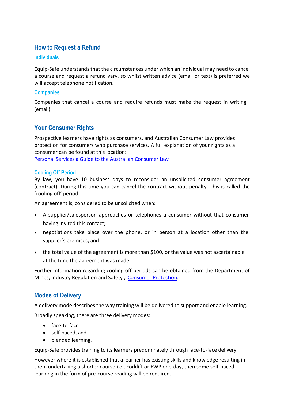# <span id="page-8-0"></span>**How to Request a Refund**

#### **Individuals**

Equip-Safe understands that the circumstances under which an individual may need to cancel a course and request a refund vary, so whilst written advice (email or text) is preferred we will accept telephone notification.

#### **Companies**

Companies that cancel a course and require refunds must make the request in writing (email).

# <span id="page-8-1"></span>**Your Consumer Rights**

Prospective learners have rights as consumers, and Australian Consumer Law provides protection for consumers who purchase services. A full explanation of your rights as a consumer can be found at this location: Personal Services a Guide to the Australian [Consumer Law](https://www.commerce.wa.gov.au/atom/810)

#### **Cooling Off Period**

By law, you have 10 business days to reconsider an unsolicited consumer agreement (contract). During this time you can cancel the contract without penalty. This is called the 'cooling off' period.

An agreement is, considered to be unsolicited when:

- A supplier/salesperson approaches or telephones a consumer without that consumer having invited this contact;
- negotiations take place over the phone, or in person at a location other than the supplier's premises; and
- the total value of the agreement is more than \$100, or the value was not ascertainable at the time the agreement was made.

Further information regarding cooling off periods can be obtained from the Department of Mines, Industry Regulation and Safety , [Consumer Protection.](http://www.commerce.wa.gov.au/consumer-protection)

## <span id="page-8-2"></span>**Modes of Delivery**

A delivery mode describes the way training will be delivered to support and enable learning. Broadly speaking, there are three delivery modes:

- face-to-face
- self-paced, and
- blended learning.

Equip-Safe provides training to its learners predominately through face-to-face delivery.

However where it is established that a learner has existing skills and knowledge resulting in them undertaking a shorter course i.e., Forklift or EWP one-day, then some self-paced learning in the form of pre-course reading will be required.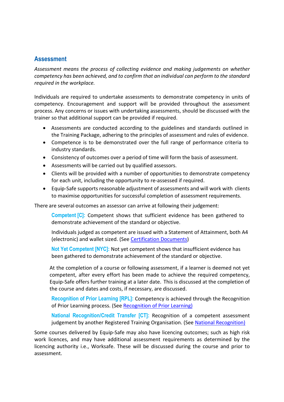## <span id="page-9-0"></span>**Assessment**

*Assessment means the process of collecting evidence and making judgements on whether competency has been achieved, and to confirm that an individual can perform to the standard required in the workplace.*

Individuals are required to undertake assessments to demonstrate competency in units of competency. Encouragement and support will be provided throughout the assessment process. Any concerns or issues with undertaking assessments, should be discussed with the trainer so that additional support can be provided if required.

- Assessments are conducted according to the guidelines and standards outlined in the Training Package, adhering to the principles of assessment and rules of evidence.
- Competence is to be demonstrated over the full range of performance criteria to industry standards.
- Consistency of outcomes over a period of time will form the basis of assessment.
- Assessments will be carried out by qualified assessors.
- Clients will be provided with a number of opportunities to demonstrate competency for each unit, including the opportunity to re-assessed if required.
- Equip-Safe supports reasonable adjustment of assessments and will work with clients to maximise opportunities for successful completion of assessment requirements.

There are several outcomes an assessor can arrive at following their judgement:

**Competent [C]:** Competent shows that sufficient evidence has been gathered to demonstrate achievement of the standard or objective.

Individuals judged as competent are issued with a Statement of Attainment, both A4 (electronic) and wallet sized. (See [Certification Documents\)](#page-16-0)

**Not Yet Competent [NYC]:** Not yet competent shows that insufficient evidence has been gathered to demonstrate achievement of the standard or objective.

At the completion of a course or following assessment, if a learner is deemed not yet competent, after every effort has been made to achieve the required competency, Equip-Safe offers further training at a later date. This is discussed at the completion of the course and dates and costs, if necessary, are discussed.

**Recognition of Prior Learning [RPL]:** Competency is achieved through the Recognition of Prior Learning process. (See [Recognition of Prior Learning\)](#page-12-2)

**National Recognition/Credit Transfer [CT]:** Recognition of a competent assessment judgement by another Registered Training Organisation. (See National Recognition)

Some courses delivered by Equip-Safe may also have licencing outcomes; such as high risk work licences, and may have additional assessment requirements as determined by the licencing authority i.e., Worksafe. These will be discussed during the course and prior to assessment.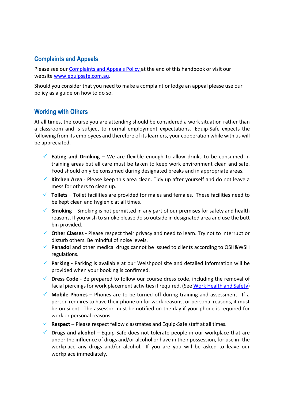# <span id="page-10-0"></span>**Complaints and Appeals**

Please see our Complaints and Appeals Policy at the end of this handbook or visit our website [www.equipsafe.com.au.](http://www.equipsafe.com.au/)

Should you consider that you need to make a complaint or lodge an appeal please use our policy as a guide on how to do so.

## <span id="page-10-1"></span>**Working with Others**

At all times, the course you are attending should be considered a work situation rather than a classroom and is subject to normal employment expectations. Equip-Safe expects the following from its employees and therefore of its learners, your cooperation while with us will be appreciated.

- **Eating and Drinking**  We are flexible enough to allow drinks to be consumed in training areas but all care must be taken to keep work environment clean and safe. Food should only be consumed during designated breaks and in appropriate areas.
- **Kitchen Area**  Please keep this area clean. Tidy up after yourself and do not leave a mess for others to clean up.
- **Toilets**  Toilet facilities are provided for males and females. These facilities need to be kept clean and hygienic at all times.
- **Smoking** Smoking is not permitted in any part of our premises for safety and health reasons. If you wish to smoke please do so outside in designated area and use the butt bin provided.
- **Other Classes**  Please respect their privacy and need to learn. Try not to interrupt or disturb others. Be mindful of noise levels.
- **Panadol** and other medical drugs cannot be issued to clients according to OSH&WSH regulations.
- **Parking -** Parking is available at our Welshpool site and detailed information will be provided when your booking is confirmed.
- **Dress Code**  Be prepared to follow our course dress code, including the removal of facial piercings for work placement activities if required. (Se[e Work Health and Safety\)](#page-18-0)
- **Mobile Phones**  Phones are to be turned off during training and assessment. If a person requires to have their phone on for work reasons, or personal reasons, it must be on silent. The assessor must be notified on the day if your phone is required for work or personal reasons.
- **Respect** Please respect fellow classmates and Equip-Safe staff at all times.
- **Drugs and alcohol**  Equip-Safe does not tolerate people in our workplace that are under the influence of drugs and/or alcohol or have in their possession, for use in the workplace any drugs and/or alcohol. If you are you will be asked to leave our workplace immediately.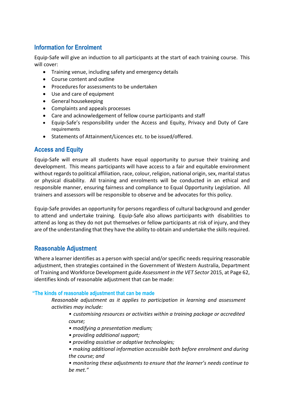# <span id="page-11-0"></span>**Information for Enrolment**

Equip-Safe will give an induction to all participants at the start of each training course. This will cover:

- Training venue, including safety and emergency details
- Course content and outline
- Procedures for assessments to be undertaken
- Use and care of equipment
- General housekeeping
- Complaints and appeals processes
- Care and acknowledgement of fellow course participants and staff
- Equip-Safe's responsibility under the Access and Equity, Privacy and Duty of Care requirements
- Statements of Attainment/Licences etc. to be issued/offered.

## <span id="page-11-1"></span>**Access and Equity**

Equip-Safe will ensure all students have equal opportunity to pursue their training and development. This means participants will have access to a fair and equitable environment without regards to political affiliation, race, colour, religion, national origin, sex, marital status or physical disability. All training and enrolments will be conducted in an ethical and responsible manner, ensuring fairness and compliance to Equal Opportunity Legislation. All trainers and assessors will be responsible to observe and be advocates for this policy.

Equip-Safe provides an opportunity for persons regardless of cultural background and gender to attend and undertake training. Equip-Safe also allows participants with disabilities to attend as long as they do not put themselves or fellow participants at risk of injury, and they are of the understanding that they have the ability to obtain and undertake the skills required.

# <span id="page-11-2"></span>**Reasonable Adjustment**

Where a learner identifies as a person with special and/or specific needs requiring reasonable adjustment, then strategies contained in the Government of Western Australia, Department of Training and Workforce Development guide *Assessment in the VET Sector* 2015, at Page 62, identifies kinds of reasonable adjustment that can be made:

#### **"The kinds of reasonable adjustment that can be made**

*Reasonable adjustment as it applies to participation in learning and assessment activities may include:*

- *• customising resources or activities within a training package or accredited course;*
- *• modifying a presentation medium;*
- *• providing additional support;*
- *• providing assistive or adaptive technologies;*
- *• making additional information accessible both before enrolment and during the course; and*
- *• monitoring these adjustments to ensure that the learner's needs continue to be met."*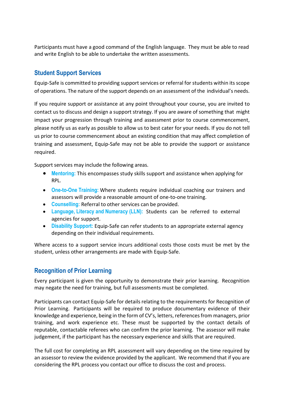<span id="page-12-2"></span>Participants must have a good command of the English language. They must be able to read and write English to be able to undertake the written assessments.

## <span id="page-12-0"></span>**Student Support Services**

Equip-Safe is committed to providing support services or referral for students within its scope of operations. The nature of the support depends on an assessment of the individual's needs.

If you require support or assistance at any point throughout your course, you are invited to contact us to discuss and design a support strategy. If you are aware of something that might impact your progression through training and assessment prior to course commencement, please notify us as early as possible to allow us to best cater for your needs. If you do not tell us prior to course commencement about an existing condition that may affect completion of training and assessment, Equip-Safe may not be able to provide the support or assistance required.

Support services may include the following areas.

- **Mentoring:** This encompasses study skills support and assistance when applying for RPL.
- **One-to-One Training:** Where students require individual coaching our trainers and assessors will provide a reasonable amount of one-to-one training.
- **Counselling:** Referral to other services can be provided.
- **Language, Literacy and Numeracy (LLN):** Students can be referred to external agencies for support.
- **Disability Support:** Equip-Safe can refer students to an appropriate external agency depending on their individual requirements.

Where access to a support service incurs additional costs those costs must be met by the student, unless other arrangements are made with Equip-Safe.

# <span id="page-12-1"></span>**Recognition of Prior Learning**

Every participant is given the opportunity to demonstrate their prior learning. Recognition may negate the need for training, but full assessments must be completed.

Participants can contact Equip-Safe for details relating to the requirements for Recognition of Prior Learning. Participants will be required to produce documentary evidence of their knowledge and experience, being in the form of CV's, letters, references from managers, prior training, and work experience etc. These must be supported by the contact details of reputable, contactable referees who can confirm the prior learning. The assessor will make judgement, if the participant has the necessary experience and skills that are required.

The full cost for completing an RPL assessment will vary depending on the time required by an assessor to review the evidence provided by the applicant. We recommend that if you are considering the RPL process you contact our office to discuss the cost and process.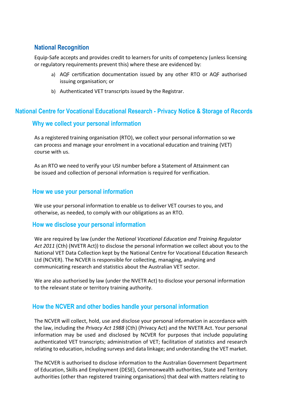# <span id="page-13-0"></span>**National Recognition**

Equip-Safe accepts and provides credit to learners for units of competency (unless licensing or regulatory requirements prevent this) where these are evidenced by:

- a) AQF certification documentation issued by any other RTO or AQF authorised issuing organisation; or
- b) Authenticated VET transcripts issued by the Registrar.

## <span id="page-13-1"></span>**National Centre for Vocational Educational Research - Privacy Notice & Storage of Records**

## **Why we collect your personal information**

As a registered training organisation (RTO), we collect your personal information so we can process and manage your enrolment in a vocational education and training (VET) course with us.

As an RTO we need to verify your USI number before a Statement of Attainment can be issued and collection of personal information is required for verification.

#### <span id="page-13-2"></span>**How we use your personal information**

We use your personal information to enable us to deliver VET courses to you, and otherwise, as needed, to comply with our obligations as an RTO.

#### <span id="page-13-3"></span>**How we disclose your personal information**

We are required by law (under the *National Vocational Education and Training Regulator Act 2011* (Cth) (NVETR Act)) to disclose the personal information we collect about you to the National VET Data Collection kept by the National Centre for Vocational Education Research Ltd (NCVER). The NCVER is responsible for collecting, managing, analysing and communicating research and statistics about the Australian VET sector.

We are also authorised by law (under the NVETR Act) to disclose your personal information to the relevant state or territory training authority.

## <span id="page-13-4"></span>**How the NCVER and other bodies handle your personal information**

The NCVER will collect, hold, use and disclose your personal information in accordance with the law, including the *Privacy Act 1988* (Cth) (Privacy Act) and the NVETR Act. Your personal information may be used and disclosed by NCVER for purposes that include populating authenticated VET transcripts; administration of VET; facilitation of statistics and research relating to education, including surveys and data linkage; and understanding the VET market.

The NCVER is authorised to disclose information to the Australian Government Department of Education, Skills and Employment (DESE), Commonwealth authorities, State and Territory authorities (other than registered training organisations) that deal with matters relating to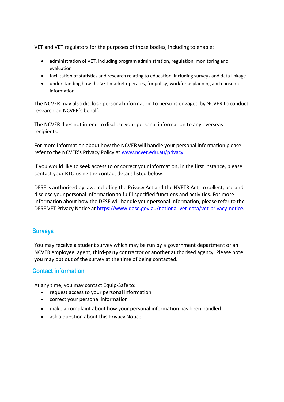VET and VET regulators for the purposes of those bodies, including to enable:

- administration of VET, including program administration, regulation, monitoring and evaluation
- facilitation of statistics and research relating to education, including surveys and data linkage
- understanding how the VET market operates, for policy, workforce planning and consumer information.

The NCVER may also disclose personal information to persons engaged by NCVER to conduct research on NCVER's behalf.

The NCVER does not intend to disclose your personal information to any overseas recipients.

For more information about how the NCVER will handle your personal information please refer to the NCVER's Privacy Policy at [www.ncver.edu.au/privacy.](http://www.ncver.edu.au/privacy)

If you would like to seek access to or correct your information, in the first instance, please contact your RTO using the contact details listed below.

DESE is authorised by law, including the Privacy Act and the NVETR Act, to collect, use and disclose your personal information to fulfil specified functions and activities. For more information about how the DESE will handle your personal information, please refer to the DESE VET Privacy Notice at [https://www.dese.gov.au/national-vet-data/vet-privacy-notice.](https://www.dese.gov.au/national-vet-data/vet-privacy-notice)

## <span id="page-14-0"></span>**Surveys**

You may receive a student survey which may be run by a government department or an NCVER employee, agent, third-party contractor or another authorised agency. Please note you may opt out of the survey at the time of being contacted.

## <span id="page-14-1"></span>**Contact information**

At any time, you may contact Equip-Safe to:

- request access to your personal information
- correct your personal information
- make a complaint about how your personal information has been handled
- ask a question about this Privacy Notice.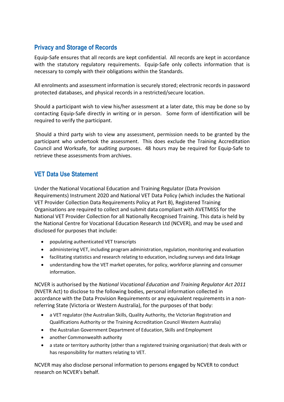# <span id="page-15-0"></span>**Privacy and Storage of Records**

Equip-Safe ensures that all records are kept confidential. All records are kept in accordance with the statutory regulatory requirements. Equip-Safe only collects information that is necessary to comply with their obligations within the Standards.

All enrolments and assessment information is securely stored; electronic records in password protected databases, and physical records in a restricted/secure location.

Should a participant wish to view his/her assessment at a later date, this may be done so by contacting Equip-Safe directly in writing or in person. Some form of identification will be required to verify the participant.

Should a third party wish to view any assessment, permission needs to be granted by the participant who undertook the assessment. This does exclude the Training Accreditation Council and Worksafe, for auditing purposes. 48 hours may be required for Equip-Safe to retrieve these assessments from archives.

# <span id="page-15-1"></span>**VET Data Use Statement**

Under the National Vocational Education and Training Regulator (Data Provision Requirements) Instrument 2020 and National VET Data Policy (which includes th[e National](http://docs.education.gov.au/node/37145)  [VET Provider Collection Data Requirements Policy a](http://docs.education.gov.au/node/37145)t Part B), Registered Training Organisations are required to collect and submit data compliant with AVETMISS for the National VET Provider Collection for all Nationally Recognised Training. This data is held by the National Centre for Vocational Education Research Ltd (NCVER), and may be used and disclosed for purposes that include:

- populating authenticated VET transcripts
- administering VET, including program administration, regulation, monitoring and evaluation
- facilitating statistics and research relating to education, including surveys and data linkage
- understanding how the VET market operates, for policy, workforce planning and consumer information.

NCVER is authorised by the *National Vocational Education and Training Regulator Act 2011*  (NVETR Act) to disclose to the following bodies, personal information collected in accordance with the Data Provision Requirements or any equivalent requirements in a nonreferring State (Victoria or Western Australia), for the purposes of that body:

- a VET regulator (the Australian Skills, Quality Authority, the Victorian Registration and Qualifications Authority or the Training Accreditation Council Western Australia)
- the Australian Government Department of Education, Skills and Employment
- another Commonwealth authority
- a state or territory authority (other than a registered training organisation) that deals with or has responsibility for matters relating to VET.

NCVER may also disclose personal information to persons engaged by NCVER to conduct research on NCVER's behalf.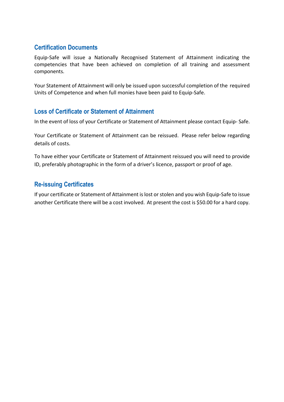# <span id="page-16-0"></span>**Certification Documents**

Equip-Safe will issue a Nationally Recognised Statement of Attainment indicating the competencies that have been achieved on completion of all training and assessment components.

Your Statement of Attainment will only be issued upon successful completion of the required Units of Competence and when full monies have been paid to Equip-Safe.

# <span id="page-16-1"></span>**Loss of Certificate or Statement of Attainment**

In the event of loss of your Certificate or Statement of Attainment please contact Equip- Safe.

Your Certificate or Statement of Attainment can be reissued. Please refer below regarding details of costs.

To have either your Certificate or Statement of Attainment reissued you will need to provide ID, preferably photographic in the form of a driver's licence, passport or proof of age.

# <span id="page-16-2"></span>**Re-issuing Certificates**

If your certificate or Statement of Attainment is lost or stolen and you wish Equip-Safe to issue another Certificate there will be a cost involved. At present the cost is \$50.00 for a hard copy.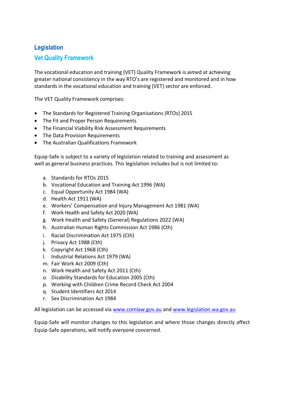# <span id="page-17-0"></span>**Legislation**

# **Vet Quality Framework**

The vocational education and training (VET) Quality Framework is aimed at achieving greater national consistency in the way RTO's are registered and monitored and in how standards in the vocational education and training (VET) sector are enforced.

The VET Quality Framework comprises:

- The Standards for Registered Training Organisations (RTOs) 2015
- The Fit and Proper Person Requirements
- The Financial Viability Risk Assessment Requirements
- The Data Provision Requirements
- The Australian Qualifications Framework

Equip-Safe is subject to a variety of legislation related to training and assessment as well as general business practices. This legislation includes but is not limited to:

- a. Standards for RTOs 2015
- b. Vocational Education and Training Act 1996 (WA)
- c. Equal Opportunity Act 1984 (WA)
- d. Health Act 1911 (WA)
- e. Workers' Compensation and Injury Management Act 1981 (WA)
- f. Work Health and Safety Act 2020 (WA)
- g. Work Health and Safety (General) Regulations 2022 (WA)
- h. Australian Human Rights Commission Act 1986 (Cth)
- i. Racial Discrimination Act 1975 (Cth)
- j. Privacy Act 1988 (Cth)
- k. Copyright Act 1968 (Cth)
- l. Industrial Relations Act 1979 (WA)
- m. Fair Work Act 2009 (Cth)
- n. Work Health and Safety Act 2011 (Cth)
- o. Disability Standards for Education 2005 (Cth)
- p. Working with Children Crime Record Check Act 2004
- q. Student Identifiers Act 2014
- r. Sex Discrimination Act 1984

All legislation can be accessed via [www.comlaw.gov.au](http://www.comlaw.gov.au/) and [www.legislation.wa.gov.au](http://www.legislation.wa.gov.au/)

Equip-Safe will monitor changes to this legislation and where those changes directly affect Equip-Safe operations, will notify everyone concerned.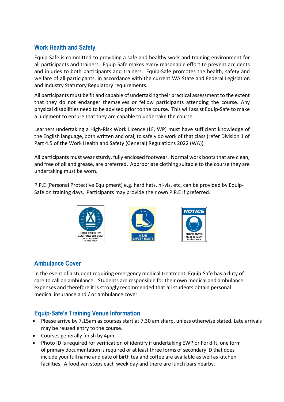# <span id="page-18-0"></span>**Work Health and Safety**

Equip-Safe is committed to providing a safe and healthy work and training environment for all participants and trainers. Equip-Safe makes every reasonable effort to prevent accidents and injuries to both participants and trainers. Equip-Safe promotes the health, safety and welfare of all participants, in accordance with the current WA State and Federal Legislation and Industry Statutory Regulatory requirements.

All participants must be fit and capable of undertaking their practical assessment to the extent that they do not endanger themselves or fellow participants attending the course. Any physical disabilities need to be advised prior to the course. This will assist Equip-Safe to make a judgment to ensure that they are capable to undertake the course.

Learners undertaking a High-Risk Work Licence (LF, WP) must have sufficient knowledge of the English language, both written and oral, to safely do work of that class (refer Division 1 of Part 4.5 of the Work Health and Safety (General) Regulations 2022 (WA))

All participants must wear sturdy, fully enclosed footwear. Normal work boots that are clean, and free of oil and grease, are preferred. Appropriate clothing suitable to the course they are undertaking must be worn.

P.P.E (Personal Protective Equipment) e.g. hard hats, hi-vis, etc, can be provided by Equip-Safe on training days. Participants may provide their own P.P.E if preferred.



# <span id="page-18-1"></span>**Ambulance Cover**

In the event of a student requiring emergency medical treatment, Equip-Safe has a duty of care to call an ambulance. Students are responsible for their own medical and ambulance expenses and therefore it is strongly recommended that all students obtain personal medical insurance and / or ambulance cover.

# <span id="page-18-2"></span>**Equip-Safe's Training Venue Information**

- Please arrive by 7.15am as courses start at 7.30 am sharp, unless otherwise stated. Late arrivals may be reused entry to the course.
- Courses generally finish by 4pm.
- Photo ID is required for verification of identify if undertaking EWP or Forklift, one form of primary documentation is required or at least three forms of secondary ID that does include your full name and date of birth tea and coffee are available as well as kitchen facilities. A food van stops each week day and there are lunch bars nearby.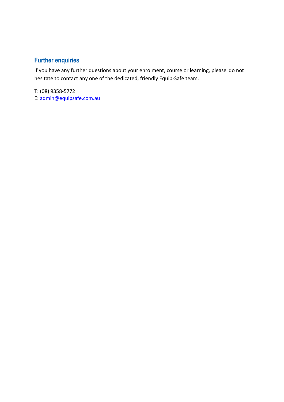# <span id="page-19-0"></span>**Further enquiries**

If you have any further questions about your enrolment, course or learning, please do not hesitate to contact any one of the dedicated, friendly Equip-Safe team.

T: (08) 9358-5772 E: [admin@equipsafe.com.au](mailto:admin@equipsafe.com.au)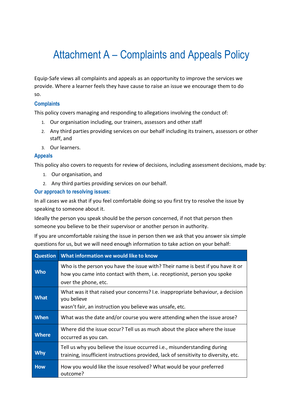# Attachment A – Complaints and Appeals Policy

<span id="page-20-0"></span>Equip-Safe views all complaints and appeals as an opportunity to improve the services we provide. Where a learner feels they have cause to raise an issue we encourage them to do so.

#### **Complaints**

This policy covers managing and responding to allegations involving the conduct of:

- 1. Our organisation including, our trainers, assessors and other staff
- 2. Any third parties providing services on our behalf including its trainers, assessors or other staff, and
- 3. Our learners.

#### **Appeals**

This policy also covers to requests for review of decisions, including assessment decisions, made by:

- 1. Our organisation, and
- 2. Any third parties providing services on our behalf.

#### **Our approach to resolving issues:**

In all cases we ask that if you feel comfortable doing so you first try to resolve the issue by speaking to someone about it.

Ideally the person you speak should be the person concerned, if not that person then someone you believe to be their supervisor or another person in authority.

If you are uncomfortable raising the issue in person then we ask that you answer six simple questions for us, but we will need enough information to take action on your behalf:

| <b>Question</b> | What information we would like to know                                                                                                                                              |
|-----------------|-------------------------------------------------------------------------------------------------------------------------------------------------------------------------------------|
| <b>Who</b>      | Who is the person you have the issue with? Their name is best if you have it or<br>how you came into contact with them, i.e. receptionist, person you spoke<br>over the phone, etc. |
| <b>What</b>     | What was it that raised your concerns? I.e. inappropriate behaviour, a decision<br>you believe<br>wasn't fair, an instruction you believe was unsafe, etc.                          |
| <b>When</b>     | What was the date and/or course you were attending when the issue arose?                                                                                                            |
| <b>Where</b>    | Where did the issue occur? Tell us as much about the place where the issue<br>occurred as you can.                                                                                  |
| <b>Why</b>      | Tell us why you believe the issue occurred i.e., misunderstanding during<br>training, insufficient instructions provided, lack of sensitivity to diversity, etc.                    |
| <b>How</b>      | How you would like the issue resolved? What would be your preferred<br>outcome?                                                                                                     |